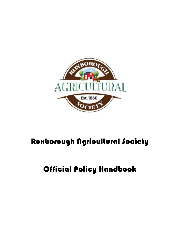

# Roxborough Agricultural Society

# Official Policy Handbook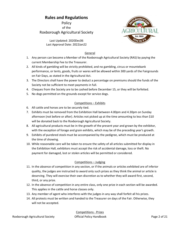## Rules and Regulations

**Policy** of the Roxborough Agricultural Society



Last Updated: 2020Dec06 Last Approval Date: 2022Jan22

#### General

- 1. Any person can become a Member of the Roxborough Agricultural Society (RAS) by paying the current Membership Fee to the Treasurer.
- 2. All kinds of gambling will be strictly prohibited, and no gambling, circus or mountebank performance, or tents, goods, fruits or wares will be allowed within 300 yards of the Fairgrounds on Fair Days, as stated in the Agricultural Act.
- 3. The Directors shall have the power to deduct a percentage on premiums should the funds of the Society not be sufficient to meet payments in full.
- 4. Cheques from the Society are to be cashed before December 15, or they will be forfeited.
- 5. No dogs permitted on the grounds except for service dogs.

#### Competitions – Exhibits

- 6. All cattle and horses are to be securely tied.
- 7. Exhibits must be removed from the Exhibition Hall between 4.00pm and 4.30pm on Sunday afternoon (not before or after). Articles not picked up at the time amounting to less than \$10 will be donated back to the Roxborough Agricultural Society.
- 8. All agricultural products must be in the growth of the present year and grown by the exhibitor, with the exception of forage and grain exhibits, which may be of the preceding year's growth.
- 9. Exhibits of purebred stock must be accompanied by the pedigree, which must be produced at the time of showing.
- 10. While reasonable care will be taken to ensure the safety of all articles submitted for display in the Exhibition Hall, exhibitors must accept the risk of accidental damage, loss or theft. No payment for damaged, lost or stolen articles will be permitted or considered.

#### Competitions – Judging

- 11. In the absence of competition in any section, or if the animals or articles exhibited are of inferior quality, the judges are instructed to award only such prizes as they think the animal or article is deserving. They will exercise their own discretion as to whether they will award first, second, third, or any prize.
- 12. In the absence of competition in any entire class, only one prize in each section will be awarded. This applies in the cattle and horse classes only.
- 13. Any member of agent who interferes with the judges in any way shall forfeit all his prizes.
- 14. All protests must be written and handed to the Treasurer on days of the Fair. Otherwise, they will not be accepted.

Competitions - Prizes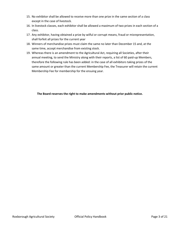- 15. No exhibitor shall be allowed to receive more than one prize in the same section of a class except in the case of livestock.
- 16. In livestock classes, each exhibitor shall be allowed a maximum of two prizes in each section of a class.
- 17. Any exhibitor, having obtained a prize by wilful or corrupt means, fraud or misrepresentation, shall forfeit all prizes for the current year
- 18. Winners of merchandise prizes must claim the same no later than December 15 and, at the same time, accept merchandise from existing stock.
- 19. Whereas there is an amendment to the Agricultural Act, requiring all Societies, after their annual meeting, to send the Ministry along with their reports, a list of 60 paid-up Members, therefore the following rule has been added: in the case of all exhibitors taking prizes of the same amount or greater than the current Membership Fee, the Treasurer will retain the current Membership Fee for membership for the ensuing year.

The Board reserves the right to make amendments without prior public notice.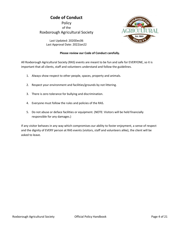# Code of Conduct

Policy of the Roxborough Agricultural Society



Last Updated: 2020Dec06 Last Approval Date: 2022Jan22

#### Please review our Code of Conduct carefully.

All Roxborough Agricultural Society (RAS) events are meant to be fun and safe for EVERYONE, so it is important that all clients, staff and volunteers understand and follow the guidelines.

- 1. Always show respect to other people, spaces, property and animals.
- 2. Respect your environment and facilities/grounds by not littering.
- 3. There is zero tolerance for bullying and discrimination.
- 4. Everyone must follow the rules and policies of the RAS.
- 5. Do not abuse or deface facilities or equipment. (NOTE: Visitors will be held financially responsible for any damages.)

If any visitor behaves in any way which compromises our ability to foster enjoyment, a sense of respect and the dignity of EVERY person at RAS events (visitors, staff and volunteers alike), the client will be asked to leave.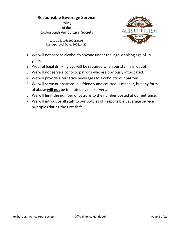## Responsible Beverage Service

**Policy** of the Roxborough Agricultural Society



Last Updated: 2020Dec06 Last Approval Date: 2022Jan22

- 1. We will not service alcohol to anyone under the legal drinking age of 19 years.
- 2. Proof of legal drinking age will be required when our staff is in doubt.
- 3. We will not serve alcohol to patrons who are obviously intoxicated.
- 4. We will provide alternative beverages to alcohol for our patrons.
- 5. We will serve our patrons in a friendly and courteous manner, but any form of abuse will not be tolerated by our servers.
- 6. We will limit the number of patrons to the number posted at our entrance.
- 7. We will introduce all staff to our policies of Responsible Beverage Service principles during the first shift.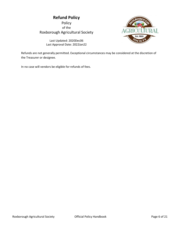# Refund Policy

Policy of the Roxborough Agricultural Society



Last Updated: 2020Dec06 Last Approval Date: 2022Jan22

Refunds are not generally permitted. Exceptional circumstances may be considered at the discretion of the Treasurer or designee.

In no case will vendors be eligible for refunds of fees.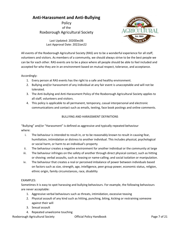## Anti-Harassment and Anti-Bullying

Policy of the Roxborough Agricultural Society



Last Updated: 2020Dec06 Last Approval Date: 2022Jan22

All events of the Roxborough Agricultural Society (RAS) are to be a wonderful experience for all staff, volunteers and visitors. As members of a community, we should always strive to be the best people we can be for each other. RAS events are to be a place where all people should be able to feel included and accepted for who they are in an environment based on mutual respect, tolerance, and acceptance.

#### Accordingly:

- 1. Every person at RAS events has the right to a safe and healthy environment.
- 2. Bullying and/or harassment of any individual at any fair event is unacceptable and will not be tolerated.
- 3. The Anti-bullying and Anti-Harassment Policy of the Roxborough Agricultural Society applies to all staff, volunteers and visitors.
- 4. This policy is applicable to all permanent, temporary, casual interpersonal and electronic communications and contact such as emails, texting, face book postings and online comments.

#### BULLYING AND HARASSMENT DEFINITIONS

"Bullying" and/or "Harassment" is defined as aggressive and typically repeated behaviour where:

- i. The behaviour is intended to result in, or to be reasonably known to result in causing fear, humiliation, intimidation or distress to another individual. This includes physical, psychological or social harm, or harm to an individual's property
- ii. The behaviour creates a negative environment for another individual or the community at large
- iii. The behaviour infringes on the safety of another through direct physical contact, such as hitting or shoving; verbal assaults, such as teasing or name-calling; and social isolation or manipulation.
- iv. The behaviour that creates a real or perceived imbalance of power between individuals based on factors such as size, strength, age, intelligence, peer group power, economic status, religion, ethnic origin, family circumstances, race, disability

#### EXAMPLES:

Sometimes it is easy to spot harassing and bullying behaviours. For example, the following behaviours are never acceptable:

- 1. Aggressive verbal behaviours such as threats, intimidation, excessive teasing
- 2. Physical assault of any kind such as hitting, punching, biting, kicking or restraining someone against their will
- 3. Sexual assault
- 4. Repeated unwelcome touching

Roxborough Agricultural Society **Contains Containers** Official Policy Handbook **Page 7 of 21**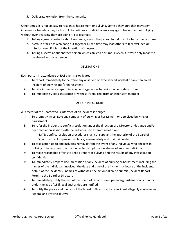5. Deliberate exclusion from the community

Other times, it is not so easy to recognize harassment or bullying. Some behaviours that may seem innocent or harmless may be hurtful. Sometimes an individual may engage in harassment or bullying without even realizing they are doing it. For example:

- 1. Telling a joke repeatedly about someone, even if the person found the joke funny the first time
- 2. A group of friends who hang out together all the time may lead others to feel excluded or inferior, even if it is not the intention of the group
- 3. Telling a secret about another person which can lead or rumours even if it were only meant to be shared with one person

#### OBLIGATIONS

Each person in attendance at RAS events is obligated:

- i. To report immediately to the office any observed or experienced incident or any perceived incident of bullying and/or harassment
- ii. To take immediate steps to intervene in aggressive behaviour when safe to do so
- iii. To immediately seek assistance or witness if required, from another staff member

#### ACTION PROCEDURE

A Director of the Board who is informed of an incident is obliged:

- i. To promptly investigate any complaint of bullying or harassment or perceived bullying or harassment
- ii. To refer the incident to conflict resolution under the direction of a Director or designee and/or peer mediation session with the individuals to attempt resolution
	- NOTE: Conflict resolution procedures shall not supplant the authority of the Board of Directors to act to prevent violence, ensure safety and maintain order.
- iii. To take action up to and including removal from the event of any individual who engages in bullying or harassment that continues to disrupt the well-being of another individual
- iv. To make reasonable efforts to keep a report of bullying and the results of any investigation confidential
- v. To immediately prepare documentation of any incident of bullying or harassment including the names of the individuals involved; the date and time of the incident(s); locale of the incident; details of the incident(s); names of witnesses; the action taken; to submit (Incident Report Form) to the Board of Directors
- vi. To immediately notify the rest of the Board of Directors and parents/guardians of any minors under the age of 18 if legal authorities are notified
- vii. To notify the police and the rest of the Board of Directors, if any incident allegedly contravenes Federal and Provincial Laws

.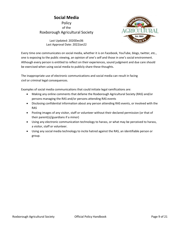## Social Media **Policy** of the Roxborough Agricultural Society



Last Updated: 2020Dec06 Last Approval Date: 2022Jan22

Every time one communicates on social media, whether it is on Facebook, YouTube, blogs, twitter, etc., one is exposing to the public viewing, an opinion of one's self and those in one's social environment. Although every person is entitled to reflect on their experiences, sound judgment and due care should be exercised when using social media to publicly share these thoughts.

The inappropriate use of electronic communications and social media can result in facing civil or criminal legal consequences.

Examples of social media communications that could initiate legal ramifications are:

- Making any online comments that defame the Roxborough Agricultural Society (RAS) and/or persons managing the RAS and/or persons attending RAS events
- Disclosing confidential information about any person attending RAS events, or involved with the RAS
- Posting images of any visitor, staff or volunteer without their declared permission (or that of their parent(s)/guardians if a minor)
- Using any electronic communication technology to harass, or what may be perceived to harass, a visitor, staff or volunteer.
- Using any social media technology to incite hatred against the RAS, an identifiable person or group.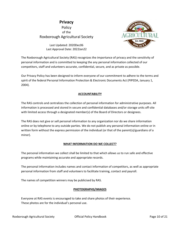## Privacy Policy of the Roxborough Agricultural Society



Last Updated: 2020Dec06 Last Approval Date: 2022Jan22

The Roxborough Agricultural Society (RAS) recognizes the importance of privacy and the sensitivity of personal information and is committed to keeping the any personal information collected of our competitors, staff and volunteers accurate, confidential, secure, and as private as possible.

Our Privacy Policy has been designed to inform everyone of our commitment to adhere to the terms and spirit of the federal Personal Information Protection & Electronic Documents Act (PIPEDA, January 1, 2004).

#### ACCOUNTABILITY

The RAS controls and centralizes the collection of personal information for administrative purposes. All information is processed and stored in secure and confidential databases and/or storage units off-site with limited access through a designated member(s) of the Board of Directors or designees.

The RAS does not give or sell personal information to any organization nor do we share information online or by telephone to any outside parties. We do not publish any personal information online or in written form without the express permission of the individual (or that of the parent(s)/guardians of a minor).

#### WHAT INFORMATION DO WE COLLECT?

The personal information we collect shall be limited to that which allows us to run safe and effective programs while maintaining accurate and appropriate records.

The personal information includes names and contact information of competitors, as well as appropriate personal information from staff and volunteers to facilitate training, contact and payroll.

The names of competition winners may be publicised by RAS.

#### PHOTOGRAPHS/IMAGES

Everyone at RAS events is encouraged to take and share photos of their experience. These photos are for the individual's personal use.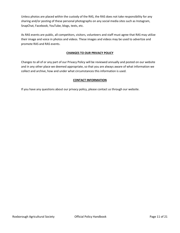Unless photos are placed within the custody of the RAS, the RAS does not take responsibility for any sharing and/or posting of these personal photographs on any social media sites such as Instagram, SnapChat, Facebook, YouTube, blogs, texts, etc.

As RAS events are public, all competitors, visitors, volunteers and staff must agree that RAS may utilize their image and voice in photos and videos. These images and videos may be used to advertize and promote RAS and RAS events.

#### CHANGES TO OUR PRIVACY POLICY

Changes to all of or any part of our Privacy Policy will be reviewed annually and posted on our website and in any other place we deemed appropriate, so that you are always aware of what information we collect and archive, how and under what circumstances this information is used.

#### CONTACT INFORMATION

If you have any questions about our privacy policy, please contact us through our website.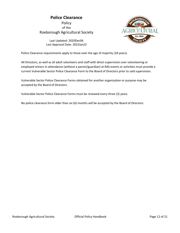## Police Clearance Policy

of the Roxborough Agricultural Society



Last Updated: 2020Dec06 Last Approval Date: 2022Jan22

Police Clearance requirements apply to those over the age of majority (18 years).

All Directors, as well as all adult volunteers and staff with direct supervision over volunteering or employed minors in attendance (without a parent/guardian) at RAS events or activities must provide a current Vulnerable Sector Police Clearance Form to the Board of Directors prior to said supervision.

Vulnerable Sector Police Clearance Forms obtained for another organization or purpose may be accepted by the Board of Directors.

Vulnerable Sector Police Clearance Forms must be renewed every three (3) years.

No police clearance form older than six (6) months will be accepted by the Board of Directors.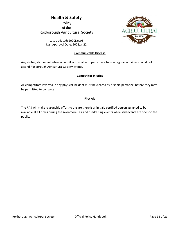## Health & Safety

**Policy** of the Roxborough Agricultural Society

> Last Updated: 2020Dec06 Last Approval Date: 2022Jan22

#### Communicable Disease

Est. 1860

Any visitor, staff or volunteer who is ill and unable to participate fully in regular activities should not attend Roxborough Agricultural Society events.

#### Competitor Injuries

All competitors involved in any physical incident must be cleared by first aid personnel before they may be permitted to compete.

#### First Aid

The RAS will make reasonable effort to ensure there is a first aid certified person assigned to be available at all times during the Avonmore Fair and fundraising events while said events are open to the public.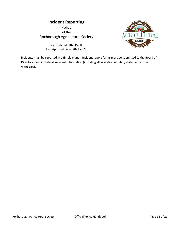## Incident Reporting

Policy of the Roxborough Agricultural Society

> Last Updated: 2020Dec06 Last Approval Date: 2022Jan22



Incidents must be reported in a timely manor. Incident report forms must be submitted to the Board of Directors , and include all relevant information (including all available voluntary statements from witnesses).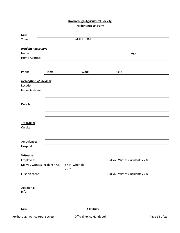#### Roxborough Agricultural Society Incident Report Form

| Time:                          |                                     | AMO<br>PMD               |                                                 |  |
|--------------------------------|-------------------------------------|--------------------------|-------------------------------------------------|--|
| <b>Incident Particulars</b>    |                                     |                          |                                                 |  |
| Name:                          |                                     |                          | Age:                                            |  |
| Home Address:                  |                                     |                          |                                                 |  |
|                                |                                     |                          |                                                 |  |
| Phone:                         | Home:                               | Work:                    | Cell:                                           |  |
| <b>Description of Incident</b> |                                     |                          |                                                 |  |
| Location:                      |                                     |                          |                                                 |  |
| Injury Sustained:              |                                     |                          |                                                 |  |
|                                |                                     |                          |                                                 |  |
|                                |                                     |                          |                                                 |  |
| Details:                       |                                     |                          |                                                 |  |
|                                |                                     |                          |                                                 |  |
|                                |                                     |                          |                                                 |  |
|                                |                                     |                          |                                                 |  |
| <b>Treatment</b><br>On site:   |                                     |                          |                                                 |  |
|                                |                                     |                          |                                                 |  |
|                                |                                     |                          |                                                 |  |
| Ambulance:                     |                                     |                          |                                                 |  |
| Hospital:                      |                                     |                          |                                                 |  |
| <b>Witnesses</b>               |                                     |                          |                                                 |  |
| Employees:                     |                                     |                          | Did you Witness Incident: Y / N                 |  |
| Did you witness incident? Y/N  |                                     | If not, who told<br>you? |                                                 |  |
| First on scene:                |                                     |                          | Did you Witness Incident: Y / N                 |  |
|                                |                                     |                          |                                                 |  |
| Additional                     |                                     |                          |                                                 |  |
| Info:                          |                                     |                          |                                                 |  |
|                                |                                     |                          |                                                 |  |
| Date:                          | <u> 1989 - Jan Amerikaans III (</u> | Signature:               | <u> 1989 - Johann Barnett, fransk politik (</u> |  |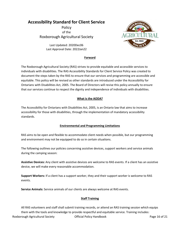## Accessibility Standard for Client Service

Policy of the Roxborough Agricultural Society

> Last Updated: 2020Dec06 Last Approval Date: 2022Jan22



#### Forward

The Roxborough Agricultural Society (RAS) strives to provide equitable and accessible services to individuals with disabilities. The RAS Accessibility Standards for Client Service Policy was created to document the steps taken by the RAS to ensure that our services and programming are accessible and equitable. This policy will be revised as other standards are introduced under the Accessibility for Ontarians with Disabilities Act, 2005. The Board of Directors will revise this policy annually to ensure that our services continue to respect the dignity and independence of individuals with disabilities.

#### What is the AODA?

The Accessibility for Ontarians with Disabilities Act, 2005, is an Ontario law that aims to increase accessibility for those with disabilities, through the implementation of mandatory accessibility standards.

#### Environmental and Programming Limitations

RAS aims to be open and flexible to accommodate client needs when possible, but our programming and environment may not be equipped to do so in certain situations.

The following outlines our policies concerning assistive devices, support workers and service animals during the camping season:

Assistive Devices: Any client with assistive devices are welcome to RAS events. If a client has an assistive device, we will make every reasonable accommodation.

Support Workers: If a client has a support worker, they and their support worker is welcome to RAS events.

Service Animals: Service animals of our clients are always welcome at RAS events.

#### Staff Training

Roxborough Agricultural Society **Container Container Official Policy Handbook** Page 16 of 21 All RAS volunteers and staff shall submit training records, or attend an RAS training session which equips them with the tools and knowledge to provide respectful and equitable service. Training includes: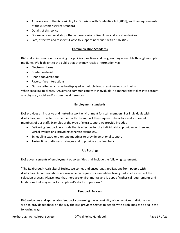- An overview of the Accessibility for Ontarians with Disabilities Act [2005], and the requirements of the customer service standard
- Details of this policy
- Discussions and workshops that address various disabilities and assistive devices
- Safe, effective and respectful ways to support individuals with disabilities

#### Communication Standards

RAS makes information concerning our policies, practices and programming accessible through multiple mediums. We highlight to the public that they may receive information via:

- Electronic forms
- Printed material
- Phone conversations
- Face-to-face interactions
- Our website (which may be displayed in multiple font sizes & various contrasts)

When speaking to clients, RAS aims to communicate with individuals in a manner that takes into account any physical, social and/or cognitive differences.

#### Employment standards

RAS provides an inclusive and nurturing work environment for staff members. For individuals with disabilities, we strive to provide them with the support they require to be active and successful members of our staff. Examples of the type of extra support we provide includes:

- Delivering feedback in a mode that is effective for the individual (i.e. providing written and verbal evaluations, providing concrete examples...)
- Scheduling extra one-on-one meetings to provide emotional support
- Taking time to discuss strategies and to provide extra feedback

#### Job Postings

RAS advertisements of employment opportunities shall include the following statement:

"The Roxborough Agricultural Society welcomes and encourages applications from people with disabilities. Accommodations are available on request for candidates taking part in all aspects of the selection process. Please note that there are environmental and job specific physical requirements and limitations that may impact an applicant's ability to perform."

#### Feedback Process

RAS welcomes and appreciates feedback concerning the accessibility of our services. Individuals who wish to provide feedback on the way the RAS provides service to people with disabilities can do so in the following ways:

Roxborough Agricultural Society **Container Container Official Policy Handbook** Page 17 of 21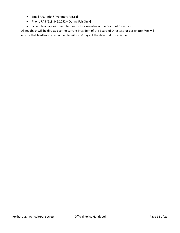- Email RAS [Info@AvonmoreFair.ca]
- Phone RAS  $[613.346.2252 During Fair Only]$
- Schedule an appointment to meet with a member of the Board of Directors

All feedback will be directed to the current President of the Board of Directors (or designate). We will ensure that feedback is responded to within 30 days of the date that it was issued.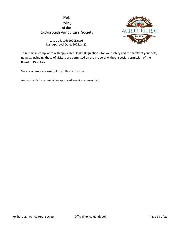### Pet Policy of the Roxborough Agricultural Society



Last Updated: 2020Dec06 Last Approval Date: 2022Jan22

To remain in compliance with applicable Health Regulations, for your safety and the safety of your pets, no pets, including those of visitors are permitted on the property without special permission of the Board of Directors.

Service animals are exempt from this restriction.

Animals which are part of an approved event are permitted.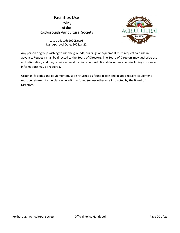## Facilities Use Policy of the Roxborough Agricultural Society



Last Updated: 2020Dec06 Last Approval Date: 2022Jan22

Any person or group wishing to use the grounds, buildings or equipment must request said use in advance. Requests shall be directed to the Board of Directors. The Board of Directors may authorize use at its discretion, and may require a fee at its discretion. Additional documentation (including insurance information) may be required.

Grounds, facilities and equipment must be returned as found (clean and in good repair). Equipment must be returned to the place where it was found (unless otherwise instructed by the Board of Directors.